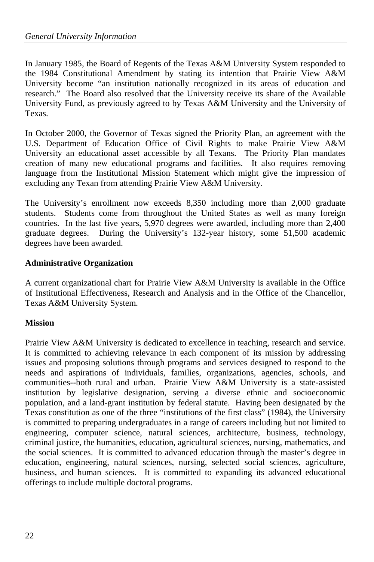In January 1985, the Board of Regents of the Texas A&M University System responded to the 1984 Constitutional Amendment by stating its intention that Prairie View A&M University become "an institution nationally recognized in its areas of education and research." The Board also resolved that the University receive its share of the Available University Fund, as previously agreed to by Texas A&M University and the University of Texas.

In October 2000, the Governor of Texas signed the Priority Plan, an agreement with the U.S. Department of Education Office of Civil Rights to make Prairie View A&M University an educational asset accessible by all Texans. The Priority Plan mandates creation of many new educational programs and facilities. It also requires removing language from the Institutional Mission Statement which might give the impression of excluding any Texan from attending Prairie View A&M University.

The University's enrollment now exceeds 8,350 including more than 2,000 graduate students. Students come from throughout the United States as well as many foreign countries. In the last five years, 5,970 degrees were awarded, including more than 2,400 graduate degrees. During the University's 132-year history, some 51,500 academic degrees have been awarded.

## **Administrative Organization**

A current organizational chart for Prairie View A&M University is available in the Office of Institutional Effectiveness, Research and Analysis and in the Office of the Chancellor, Texas A&M University System.

# **Mission**

Prairie View A&M University is dedicated to excellence in teaching, research and service. It is committed to achieving relevance in each component of its mission by addressing issues and proposing solutions through programs and services designed to respond to the needs and aspirations of individuals, families, organizations, agencies, schools, and communities--both rural and urban. Prairie View A&M University is a state-assisted institution by legislative designation, serving a diverse ethnic and socioeconomic population, and a land-grant institution by federal statute. Having been designated by the Texas constitution as one of the three "institutions of the first class" (1984), the University is committed to preparing undergraduates in a range of careers including but not limited to engineering, computer science, natural sciences, architecture, business, technology, criminal justice, the humanities, education, agricultural sciences, nursing, mathematics, and the social sciences. It is committed to advanced education through the master's degree in education, engineering, natural sciences, nursing, selected social sciences, agriculture, business, and human sciences. It is committed to expanding its advanced educational offerings to include multiple doctoral programs.